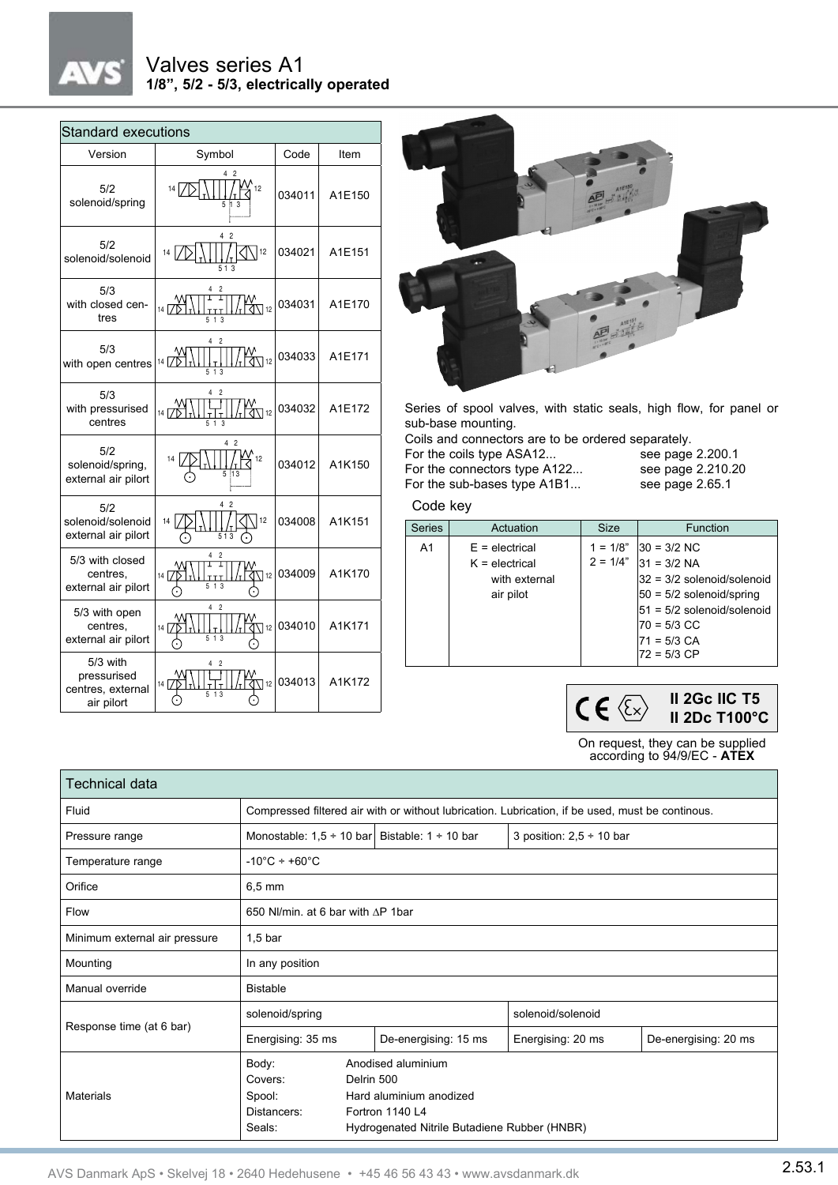# Valves series A1 **1/8", 5/2 - 5/3, electrically operated**

| <b>Standard executions</b>                                 |                                                                                          |        |        |  |  |  |  |
|------------------------------------------------------------|------------------------------------------------------------------------------------------|--------|--------|--|--|--|--|
| Version                                                    | Symbol                                                                                   | Code   | Item   |  |  |  |  |
| 5/2<br>solenoid/spring                                     | 42<br>$14\sqrt{ }$<br>้ 12                                                               | 034011 | A1E150 |  |  |  |  |
| 5/2<br>solenoid/solenoid                                   | 4<br>$\overline{2}$<br> 12<br>14                                                         | 034021 | A1E151 |  |  |  |  |
| 5/3<br>with closed cen-<br>tres                            | Ι<br>$\frac{7}{14}$ $\frac{7}{10}$<br>y:<br>∢\] 12<br>5 <sub>1</sub>                     | 034031 | A1E170 |  |  |  |  |
| 5/3<br>with open centres                                   | $\overline{c}$<br>4<br>$\frac{14}{2}$<br>w<br>বি∖⊺12<br>1 <sub>3</sub>                   | 034033 | A1E171 |  |  |  |  |
| 5/3<br>with pressurised<br>centres                         | $\frac{7}{14}$ $\frac{7}{12}$<br>$\bigvee\limits_{12}^{\mathsf{v}}$ 12<br>5 <sub>1</sub> | 034032 | A1E172 |  |  |  |  |
| 5/2<br>solenoid/spring,<br>external air pilort             | 4<br>2<br>$\cdot$ 12                                                                     | 034012 | A1K150 |  |  |  |  |
| 5/2<br>solenoid/solenoid<br>external air pilort            | 2<br>4<br>12<br>14<br>513                                                                | 034008 | A1K151 |  |  |  |  |
| 5/3 with closed<br>centres,<br>external air pilort         | $\overline{2}$<br>বী\ 12  <br>$14 \mid$<br>1                                             | 034009 | A1K170 |  |  |  |  |
| 5/3 with open<br>centres.<br>external air pilort           | Δ<br>2<br>$\overline{1}$ 12<br>14<br>$\mathbf{1}$                                        | 034010 | A1K171 |  |  |  |  |
| 5/3 with<br>pressurised<br>centres, external<br>air pilort | $\overline{2}$<br>112 I<br>14<br>13                                                      | 034013 | A1K172 |  |  |  |  |



Series of spool valves, with static seals, high flow, for panel or sub-base mounting.

Coils and connectors are to be ordered separately.

| see page $2.200$ . |
|--------------------|
| see page 2.210.2   |
| see page 2.65.1    |
|                    |

see page 2.200.1 see page 2.210.20

### Code key

| A <sub>1</sub><br>$1 = 1/8"$<br>$ 30 = 3/2$ NC<br>$E =$ electrical<br>$2 = 1/4"$<br>$31 = 3/2$ NA<br>$K =$ electrical | <b>Series</b> | Actuation | <b>Size</b> | Function                                                   |
|-----------------------------------------------------------------------------------------------------------------------|---------------|-----------|-------------|------------------------------------------------------------|
| with external<br>air pilot<br>$50 = 5/2$ solenoid/spring<br>70 = 5/3 CC<br>$71 = 5/3$ CA<br>l72 = 5/3 CP              |               |           |             | $32 = 3/2$ solenoid/solenoid<br>51 = 5/2 solenoid/solenoid |



On request, they can be supplied according to 94/9/EC - **ATEX**

| Technical data                |                                                                                                  |                                                                                                                                |                   |                      |  |  |
|-------------------------------|--------------------------------------------------------------------------------------------------|--------------------------------------------------------------------------------------------------------------------------------|-------------------|----------------------|--|--|
| Fluid                         | Compressed filtered air with or without lubrication. Lubrication, if be used, must be continous. |                                                                                                                                |                   |                      |  |  |
| Pressure range                | Monostable: $1.5 \div 10$ bar Bistable: $1 \div 10$ bar<br>3 position: $2,5 \div 10$ bar         |                                                                                                                                |                   |                      |  |  |
| Temperature range             | $-10^{\circ}$ C ÷ +60 $^{\circ}$ C                                                               |                                                                                                                                |                   |                      |  |  |
| Orifice                       | $6.5 \text{ mm}$                                                                                 |                                                                                                                                |                   |                      |  |  |
| Flow                          | 650 NI/min, at 6 bar with AP 1bar                                                                |                                                                                                                                |                   |                      |  |  |
| Minimum external air pressure | $1,5$ bar                                                                                        |                                                                                                                                |                   |                      |  |  |
| Mounting                      | In any position                                                                                  |                                                                                                                                |                   |                      |  |  |
| Manual override               | <b>Bistable</b>                                                                                  |                                                                                                                                |                   |                      |  |  |
| Response time (at 6 bar)      | solenoid/spring                                                                                  |                                                                                                                                | solenoid/solenoid |                      |  |  |
|                               | Energising: 35 ms                                                                                | De-energising: 15 ms                                                                                                           | Energising: 20 ms | De-energising: 20 ms |  |  |
| Materials                     | Body:<br>Covers:<br>Spool:<br>Distancers:<br>Seals:                                              | Anodised aluminium<br>Delrin 500<br>Hard aluminium anodized<br>Fortron 1140 L4<br>Hydrogenated Nitrile Butadiene Rubber (HNBR) |                   |                      |  |  |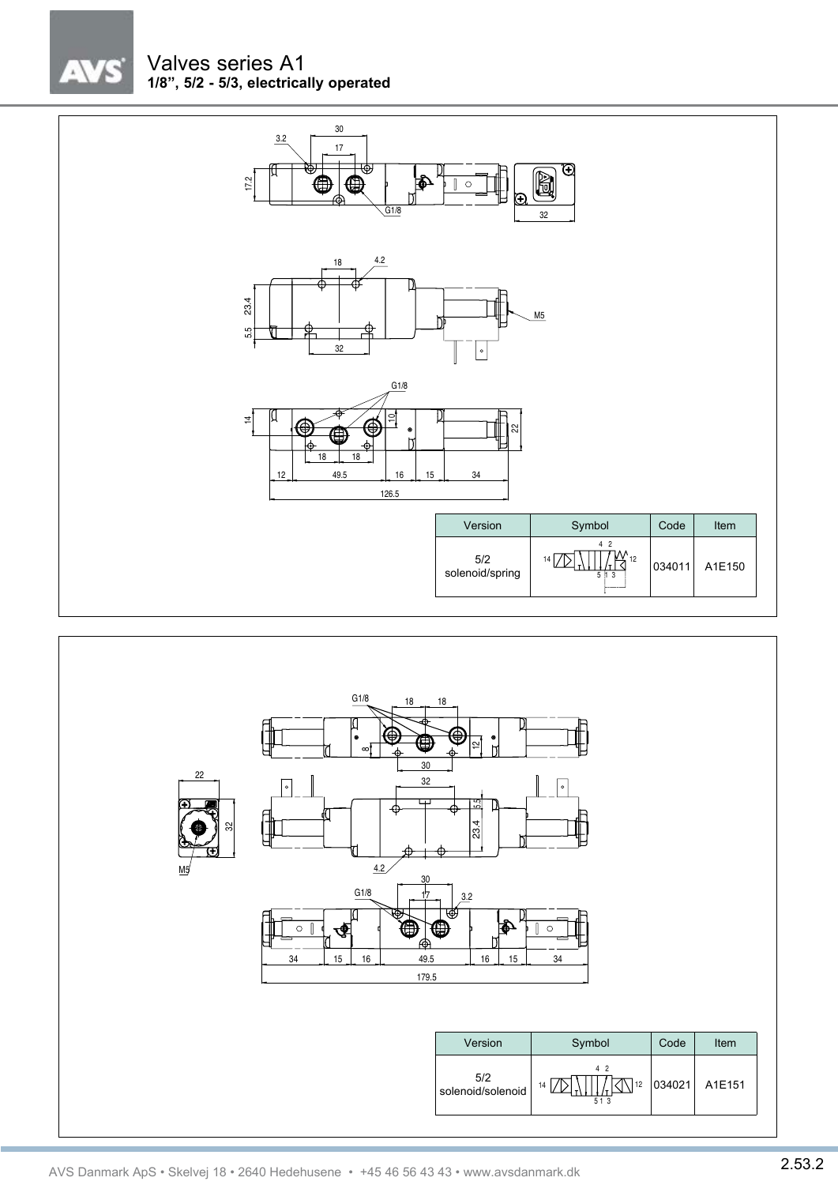

# Valves series A1 **1/8", 5/2 - 5/3, electrically operated**



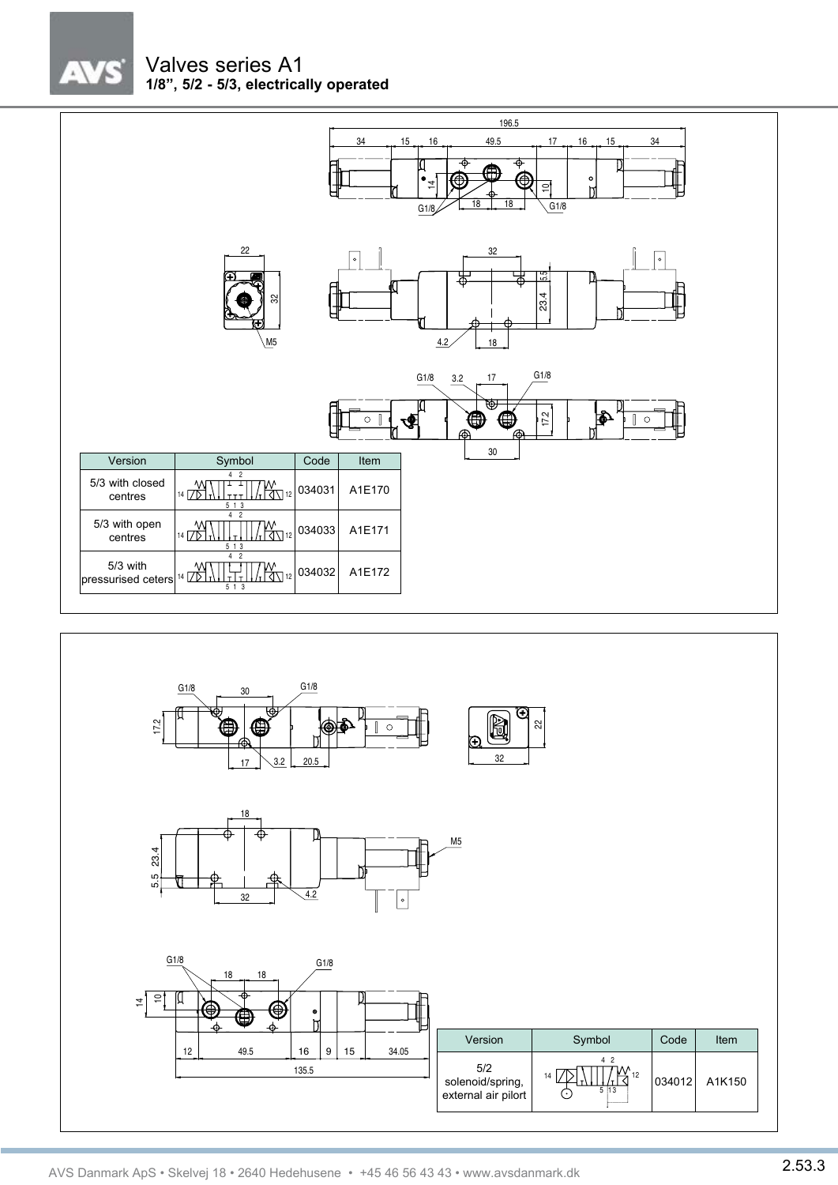$\sqrt{7}$ 

# Valves series A1 **1/8", 5/2 - 5/3, electrically operated**